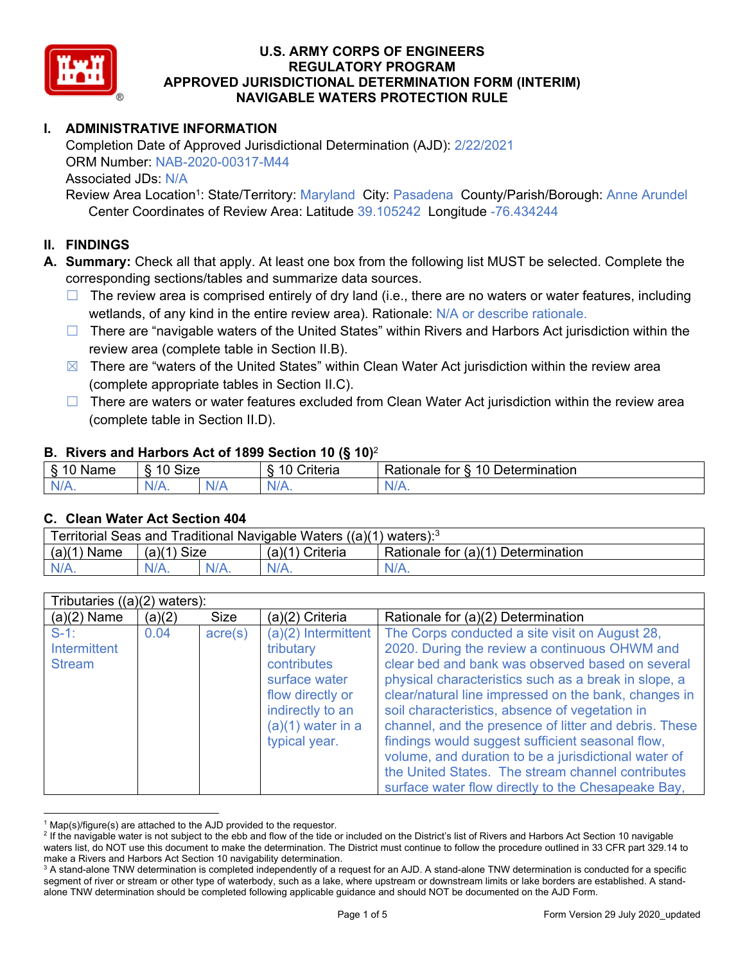

# **I. ADMINISTRATIVE INFORMATION**

Completion Date of Approved Jurisdictional Determination (AJD): 2/22/2021 ORM Number: NAB-2020-00317-M44 Associated JDs: N/A

Review Area Location<sup>1</sup>: State/Territory: Maryland City: Pasadena County/Parish/Borough: Anne Arundel Center Coordinates of Review Area: Latitude 39.105242 Longitude -76.434244

#### **II. FINDINGS**

**A. Summary:** Check all that apply. At least one box from the following list MUST be selected. Complete the corresponding sections/tables and summarize data sources.

- $\Box$  The review area is comprised entirely of dry land (i.e., there are no waters or water features, including wetlands, of any kind in the entire review area). Rationale: N/A or describe rationale.
- $\Box$  There are "navigable waters of the United States" within Rivers and Harbors Act jurisdiction within the review area (complete table in Section II.B).
- $\boxtimes$  There are "waters of the United States" within Clean Water Act jurisdiction within the review area (complete appropriate tables in Section II.C).
- □ There are waters or water features excluded from Clean Water Act jurisdiction within the review area (complete table in Section II.D).

#### **B. Rivers and Harbors Act of 1899 Section 10 (§ 10)**<sup>2</sup>

|      | $\cdot$                    |              |                                      |                                                 |  |  |  |
|------|----------------------------|--------------|--------------------------------------|-------------------------------------------------|--|--|--|
| Name | $\sim$<br>10<br>SIZE<br>C) |              | $\sim$ $\sim$<br>10<br>;riteria<br>ν | Determination<br>$\sqrt{ }$<br>⊀atıonale<br>tor |  |  |  |
| N/L  | $N/A$ .                    | 'NL.<br>NI F | xI7                                  | N/A.                                            |  |  |  |

#### **C. Clean Water Act Section 404**

| Territorial Seas and Traditional Navigable Waters $((a)(1)$ waters): <sup>3</sup> |               |  |                   |                                                 |  |
|-----------------------------------------------------------------------------------|---------------|--|-------------------|-------------------------------------------------|--|
| (a)(1)<br>Name                                                                    | $(a)(1)$ Size |  | $(a)(1)$ Criteria | <sup>1</sup> Rationale for (a)(1) Determination |  |
|                                                                                   | $N/A$ .       |  | $N/A$ .           | $N/A$ .                                         |  |

| Tributaries $((a)(2)$ waters):           |        |                  |                                                                                                                                                    |                                                                                                                                                                                                                                                                                                                                                                                                                                                                                                                                                                                                       |
|------------------------------------------|--------|------------------|----------------------------------------------------------------------------------------------------------------------------------------------------|-------------------------------------------------------------------------------------------------------------------------------------------------------------------------------------------------------------------------------------------------------------------------------------------------------------------------------------------------------------------------------------------------------------------------------------------------------------------------------------------------------------------------------------------------------------------------------------------------------|
| $(a)(2)$ Name                            | (a)(2) | <b>Size</b>      | $(a)(2)$ Criteria                                                                                                                                  | Rationale for (a)(2) Determination                                                                                                                                                                                                                                                                                                                                                                                                                                                                                                                                                                    |
| $S-1$ :<br>Intermittent<br><b>Stream</b> | 0.04   | $\text{acre}(s)$ | $(a)(2)$ Intermittent<br>tributary<br>contributes<br>surface water<br>flow directly or<br>indirectly to an<br>$(a)(1)$ water in a<br>typical year. | The Corps conducted a site visit on August 28,<br>2020. During the review a continuous OHWM and<br>clear bed and bank was observed based on several<br>physical characteristics such as a break in slope, a<br>clear/natural line impressed on the bank, changes in<br>soil characteristics, absence of vegetation in<br>channel, and the presence of litter and debris. These<br>findings would suggest sufficient seasonal flow,<br>volume, and duration to be a jurisdictional water of<br>the United States. The stream channel contributes<br>surface water flow directly to the Chesapeake Bay, |

 $1$  Map(s)/figure(s) are attached to the AJD provided to the requestor.

<sup>&</sup>lt;sup>2</sup> If the navigable water is not subject to the ebb and flow of the tide or included on the District's list of Rivers and Harbors Act Section 10 navigable waters list, do NOT use this document to make the determination. The District must continue to follow the procedure outlined in 33 CFR part 329.14 to make a Rivers and Harbors Act Section 10 navigability determination.

<sup>&</sup>lt;sup>3</sup> A stand-alone TNW determination is completed independently of a request for an AJD. A stand-alone TNW determination is conducted for a specific segment of river or stream or other type of waterbody, such as a lake, where upstream or downstream limits or lake borders are established. A standalone TNW determination should be completed following applicable guidance and should NOT be documented on the AJD Form.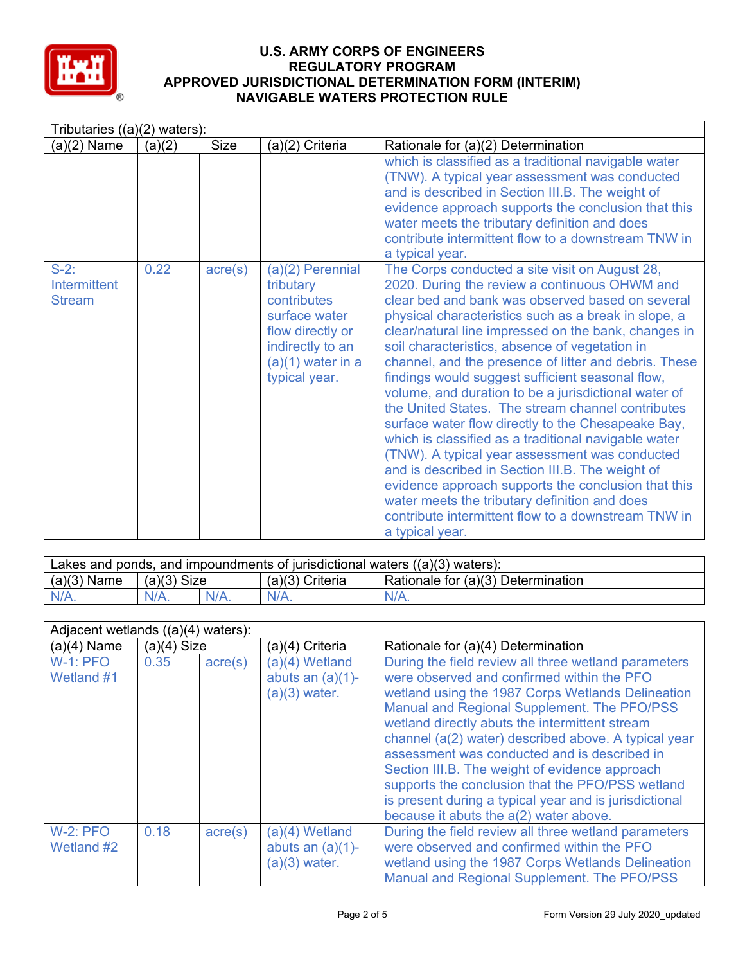

|                                                 | Tributaries $((a)(2)$ waters): |                  |                                                                                                                                               |                                                                                                                                                                                                                                                                                                                                                                                                                                                                                                                                                                                                                                                                                                                                                                                                                                                                                                                                                       |  |  |
|-------------------------------------------------|--------------------------------|------------------|-----------------------------------------------------------------------------------------------------------------------------------------------|-------------------------------------------------------------------------------------------------------------------------------------------------------------------------------------------------------------------------------------------------------------------------------------------------------------------------------------------------------------------------------------------------------------------------------------------------------------------------------------------------------------------------------------------------------------------------------------------------------------------------------------------------------------------------------------------------------------------------------------------------------------------------------------------------------------------------------------------------------------------------------------------------------------------------------------------------------|--|--|
| $(a)(2)$ Name                                   | (a)(2)                         | <b>Size</b>      | (a)(2) Criteria                                                                                                                               | Rationale for (a)(2) Determination                                                                                                                                                                                                                                                                                                                                                                                                                                                                                                                                                                                                                                                                                                                                                                                                                                                                                                                    |  |  |
|                                                 |                                |                  |                                                                                                                                               | which is classified as a traditional navigable water<br>(TNW). A typical year assessment was conducted<br>and is described in Section III.B. The weight of<br>evidence approach supports the conclusion that this<br>water meets the tributary definition and does<br>contribute intermittent flow to a downstream TNW in<br>a typical year.                                                                                                                                                                                                                                                                                                                                                                                                                                                                                                                                                                                                          |  |  |
| $S-2$ :<br><b>Intermittent</b><br><b>Stream</b> | 0.22                           | $\text{acre}(s)$ | (a)(2) Perennial<br>tributary<br>contributes<br>surface water<br>flow directly or<br>indirectly to an<br>$(a)(1)$ water in a<br>typical year. | The Corps conducted a site visit on August 28,<br>2020. During the review a continuous OHWM and<br>clear bed and bank was observed based on several<br>physical characteristics such as a break in slope, a<br>clear/natural line impressed on the bank, changes in<br>soil characteristics, absence of vegetation in<br>channel, and the presence of litter and debris. These<br>findings would suggest sufficient seasonal flow,<br>volume, and duration to be a jurisdictional water of<br>the United States. The stream channel contributes<br>surface water flow directly to the Chesapeake Bay,<br>which is classified as a traditional navigable water<br>(TNW). A typical year assessment was conducted<br>and is described in Section III.B. The weight of<br>evidence approach supports the conclusion that this<br>water meets the tributary definition and does<br>contribute intermittent flow to a downstream TNW in<br>a typical year. |  |  |

| Lakes and ponds, and impoundments of jurisdictional waters $((a)(3)$ waters): |               |         |                   |                                    |  |
|-------------------------------------------------------------------------------|---------------|---------|-------------------|------------------------------------|--|
| $(a)(3)$ Name                                                                 | $(a)(3)$ Size |         | $(a)(3)$ Criteria | Rationale for (a)(3) Determination |  |
| $N/A$ .                                                                       |               | $N/A$ . | $N/A$ .           | $N/A$ .                            |  |

|                               | Adjacent wetlands ((a)(4) waters): |                  |                                                          |                                                                                                                                                                                                                                                                                                                                                                                                                                                                                                                                                                            |  |
|-------------------------------|------------------------------------|------------------|----------------------------------------------------------|----------------------------------------------------------------------------------------------------------------------------------------------------------------------------------------------------------------------------------------------------------------------------------------------------------------------------------------------------------------------------------------------------------------------------------------------------------------------------------------------------------------------------------------------------------------------------|--|
| $(a)(4)$ Name                 | $(a)(4)$ Size                      |                  | (a)(4) Criteria                                          | Rationale for (a)(4) Determination                                                                                                                                                                                                                                                                                                                                                                                                                                                                                                                                         |  |
| $W-1$ : PFO<br>Wetland #1     | 0.35                               | $\text{acre}(s)$ | (a)(4) Wetland<br>abuts an $(a)(1)$ -<br>$(a)(3)$ water. | During the field review all three wetland parameters<br>were observed and confirmed within the PFO<br>wetland using the 1987 Corps Wetlands Delineation<br>Manual and Regional Supplement. The PFO/PSS<br>wetland directly abuts the intermittent stream<br>channel (a(2) water) described above. A typical year<br>assessment was conducted and is described in<br>Section III.B. The weight of evidence approach<br>supports the conclusion that the PFO/PSS wetland<br>is present during a typical year and is jurisdictional<br>because it abuts the a(2) water above. |  |
| <b>W-2: PFO</b><br>Wetland #2 | 0.18                               | $\text{acre}(s)$ | (a)(4) Wetland<br>abuts an $(a)(1)$ -<br>$(a)(3)$ water. | During the field review all three wetland parameters<br>were observed and confirmed within the PFO<br>wetland using the 1987 Corps Wetlands Delineation<br>Manual and Regional Supplement. The PFO/PSS                                                                                                                                                                                                                                                                                                                                                                     |  |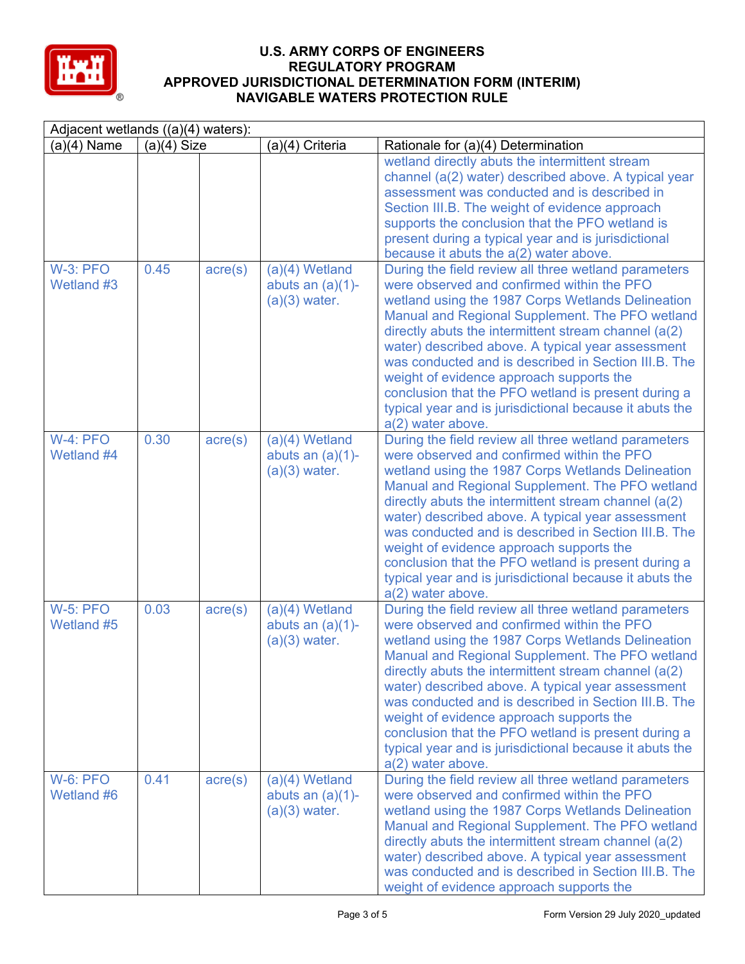

| Adjacent wetlands $((a)(4)$ waters): |               |                  |                                                            |                                                                                                                                                                                                                                                                                                                                                                                                                                                                                                                                                                       |
|--------------------------------------|---------------|------------------|------------------------------------------------------------|-----------------------------------------------------------------------------------------------------------------------------------------------------------------------------------------------------------------------------------------------------------------------------------------------------------------------------------------------------------------------------------------------------------------------------------------------------------------------------------------------------------------------------------------------------------------------|
| $(a)(4)$ Name                        | $(a)(4)$ Size |                  | (a)(4) Criteria                                            | Rationale for (a)(4) Determination                                                                                                                                                                                                                                                                                                                                                                                                                                                                                                                                    |
|                                      |               |                  |                                                            | wetland directly abuts the intermittent stream<br>channel (a(2) water) described above. A typical year<br>assessment was conducted and is described in<br>Section III.B. The weight of evidence approach<br>supports the conclusion that the PFO wetland is<br>present during a typical year and is jurisdictional<br>because it abuts the a(2) water above.                                                                                                                                                                                                          |
| <b>W-3: PFO</b><br>Wetland #3        | 0.45          | $\text{acre}(s)$ | $(a)(4)$ Wetland<br>abuts an $(a)(1)$ -<br>$(a)(3)$ water. | During the field review all three wetland parameters<br>were observed and confirmed within the PFO<br>wetland using the 1987 Corps Wetlands Delineation<br>Manual and Regional Supplement. The PFO wetland<br>directly abuts the intermittent stream channel $(a(2))$<br>water) described above. A typical year assessment<br>was conducted and is described in Section III.B. The<br>weight of evidence approach supports the<br>conclusion that the PFO wetland is present during a<br>typical year and is jurisdictional because it abuts the<br>a(2) water above. |
| $W-4$ : PFO<br>Wetland #4            | 0.30          | $\text{acre}(s)$ | $(a)(4)$ Wetland<br>abuts an $(a)(1)$ -<br>$(a)(3)$ water. | During the field review all three wetland parameters<br>were observed and confirmed within the PFO<br>wetland using the 1987 Corps Wetlands Delineation<br>Manual and Regional Supplement. The PFO wetland<br>directly abuts the intermittent stream channel $(a(2))$<br>water) described above. A typical year assessment<br>was conducted and is described in Section III.B. The<br>weight of evidence approach supports the<br>conclusion that the PFO wetland is present during a<br>typical year and is jurisdictional because it abuts the<br>a(2) water above. |
| <b>W-5: PFO</b><br>Wetland #5        | 0.03          | $\text{acre}(s)$ | $(a)(4)$ Wetland<br>abuts an $(a)(1)$ -<br>$(a)(3)$ water. | During the field review all three wetland parameters<br>were observed and confirmed within the PFO<br>wetland using the 1987 Corps Wetlands Delineation<br>Manual and Regional Supplement. The PFO wetland<br>directly abuts the intermittent stream channel $(a(2))$<br>water) described above. A typical year assessment<br>was conducted and is described in Section III.B. The<br>weight of evidence approach supports the<br>conclusion that the PFO wetland is present during a<br>typical year and is jurisdictional because it abuts the<br>a(2) water above. |
| W-6: PFO<br>Wetland #6               | 0.41          | $\text{acre}(s)$ | $(a)(4)$ Wetland<br>abuts an $(a)(1)$ -<br>$(a)(3)$ water. | During the field review all three wetland parameters<br>were observed and confirmed within the PFO<br>wetland using the 1987 Corps Wetlands Delineation<br>Manual and Regional Supplement. The PFO wetland<br>directly abuts the intermittent stream channel $(a(2))$<br>water) described above. A typical year assessment<br>was conducted and is described in Section III.B. The<br>weight of evidence approach supports the                                                                                                                                        |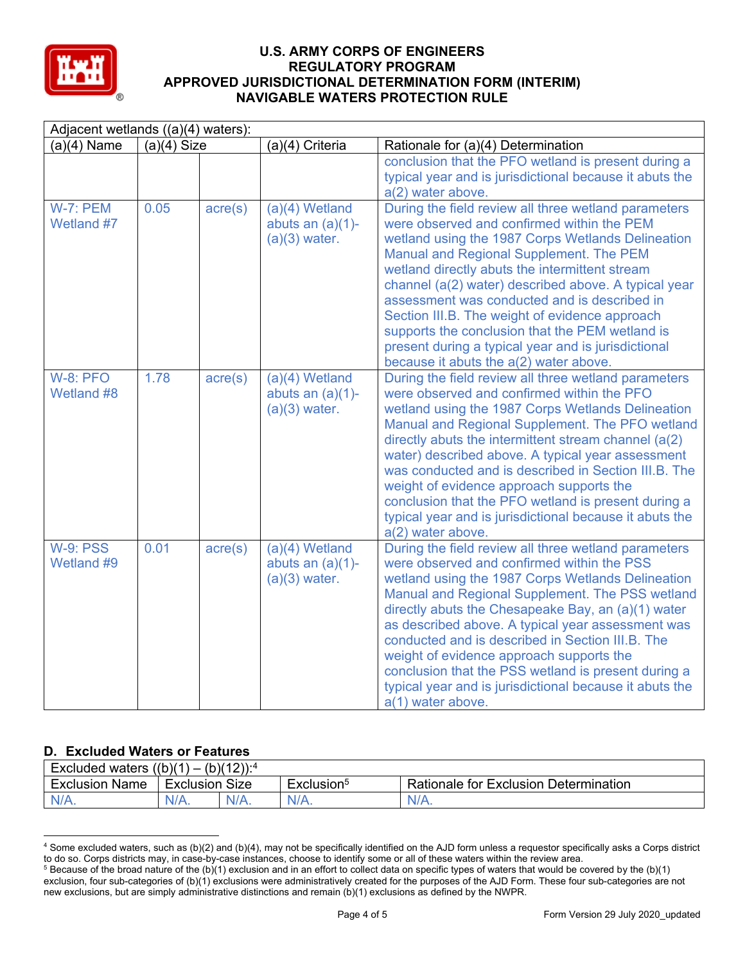

| Adjacent wetlands $((a)(4)$ waters): |               |                  |                                                            |                                                                                                                                                                                                                                                                                                                                                                                                                                                                                                                                                                       |  |
|--------------------------------------|---------------|------------------|------------------------------------------------------------|-----------------------------------------------------------------------------------------------------------------------------------------------------------------------------------------------------------------------------------------------------------------------------------------------------------------------------------------------------------------------------------------------------------------------------------------------------------------------------------------------------------------------------------------------------------------------|--|
| $(a)(4)$ Name                        | $(a)(4)$ Size |                  | (a)(4) Criteria                                            | Rationale for (a)(4) Determination                                                                                                                                                                                                                                                                                                                                                                                                                                                                                                                                    |  |
|                                      |               |                  |                                                            | conclusion that the PFO wetland is present during a<br>typical year and is jurisdictional because it abuts the<br>a(2) water above.                                                                                                                                                                                                                                                                                                                                                                                                                                   |  |
| W-7: PEM<br>Wetland #7               | 0.05          | $\text{acre}(s)$ | $(a)(4)$ Wetland<br>abuts an $(a)(1)$ -<br>$(a)(3)$ water. | During the field review all three wetland parameters<br>were observed and confirmed within the PEM<br>wetland using the 1987 Corps Wetlands Delineation<br>Manual and Regional Supplement. The PEM<br>wetland directly abuts the intermittent stream<br>channel (a(2) water) described above. A typical year<br>assessment was conducted and is described in<br>Section III.B. The weight of evidence approach<br>supports the conclusion that the PEM wetland is<br>present during a typical year and is jurisdictional<br>because it abuts the a(2) water above.    |  |
| <b>W-8: PFO</b><br>Wetland #8        | 1.78          | $\text{acre}(s)$ | $(a)(4)$ Wetland<br>abuts an $(a)(1)$ -<br>$(a)(3)$ water. | During the field review all three wetland parameters<br>were observed and confirmed within the PFO<br>wetland using the 1987 Corps Wetlands Delineation<br>Manual and Regional Supplement. The PFO wetland<br>directly abuts the intermittent stream channel $(a(2))$<br>water) described above. A typical year assessment<br>was conducted and is described in Section III.B. The<br>weight of evidence approach supports the<br>conclusion that the PFO wetland is present during a<br>typical year and is jurisdictional because it abuts the<br>a(2) water above. |  |
| <b>W-9: PSS</b><br>Wetland #9        | 0.01          | $\text{acre}(s)$ | $(a)(4)$ Wetland<br>abuts an $(a)(1)$ -<br>$(a)(3)$ water. | During the field review all three wetland parameters<br>were observed and confirmed within the PSS<br>wetland using the 1987 Corps Wetlands Delineation<br>Manual and Regional Supplement. The PSS wetland<br>directly abuts the Chesapeake Bay, an (a)(1) water<br>as described above. A typical year assessment was<br>conducted and is described in Section III.B. The<br>weight of evidence approach supports the<br>conclusion that the PSS wetland is present during a<br>typical year and is jurisdictional because it abuts the<br>a(1) water above.          |  |

# **D. Excluded Waters or Features**

| Excluded waters ((b)(1)<br>$(b)(12))$ : <sup>4</sup><br>$\overline{\phantom{0}}$ |           |         |                        |                                       |
|----------------------------------------------------------------------------------|-----------|---------|------------------------|---------------------------------------|
| <b>Exclusion Name</b>                                                            | Exclusion | Size    | Exclusion <sup>5</sup> | Rationale for Exclusion Determination |
| $N/A$ .                                                                          | $N/A$ .   | $N/A$ . | $N/A$ .                | N/A.                                  |

<sup>4</sup> Some excluded waters, such as (b)(2) and (b)(4), may not be specifically identified on the AJD form unless a requestor specifically asks a Corps district to do so. Corps districts may, in case-by-case instances, choose to identify some or all of these waters within the review area.  $5$  Because of the broad nature of the (b)(1) exclusion and in an effort to collect data on specific types of waters that would be covered by the (b)(1)

exclusion, four sub-categories of (b)(1) exclusions were administratively created for the purposes of the AJD Form. These four sub-categories are not new exclusions, but are simply administrative distinctions and remain (b)(1) exclusions as defined by the NWPR.